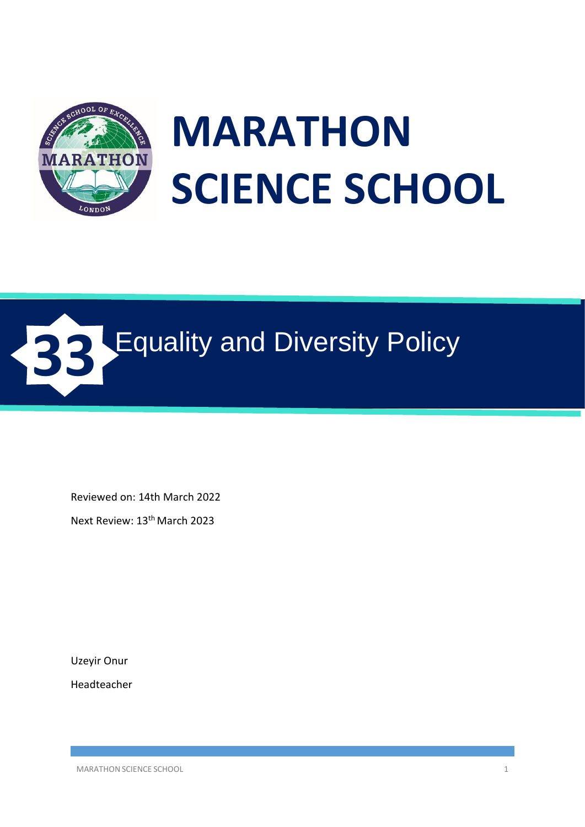

# **MARATHON SCIENCE SCHOOL**



Reviewed on: 14th March 2022

Next Review: 13th March 2023

Uzeyir Onur

Headteacher

MARATHON SCIENCE SCHOOL 2008 12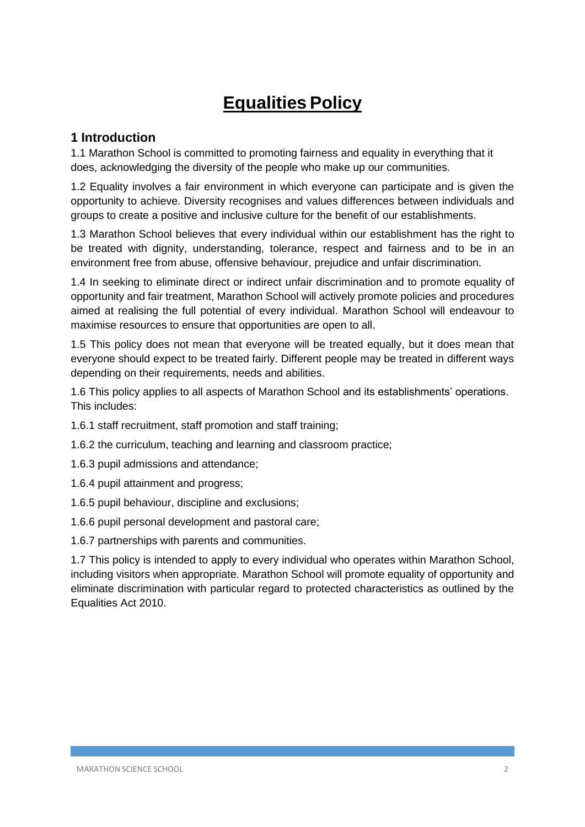# **Equalities Policy**

#### **1 Introduction**

1.1 Marathon School is committed to promoting fairness and equality in everything that it does, acknowledging the diversity of the people who make up our communities.

1.2 Equality involves a fair environment in which everyone can participate and is given the opportunity to achieve. Diversity recognises and values differences between individuals and groups to create a positive and inclusive culture for the benefit of our establishments.

1.3 Marathon School believes that every individual within our establishment has the right to be treated with dignity, understanding, tolerance, respect and fairness and to be in an environment free from abuse, offensive behaviour, prejudice and unfair discrimination.

1.4 In seeking to eliminate direct or indirect unfair discrimination and to promote equality of opportunity and fair treatment, Marathon School will actively promote policies and procedures aimed at realising the full potential of every individual. Marathon School will endeavour to maximise resources to ensure that opportunities are open to all.

1.5 This policy does not mean that everyone will be treated equally, but it does mean that everyone should expect to be treated fairly. Different people may be treated in different ways depending on their requirements, needs and abilities.

1.6 This policy applies to all aspects of Marathon School and its establishments' operations. This includes:

- 1.6.1 staff recruitment, staff promotion and staff training;
- 1.6.2 the curriculum, teaching and learning and classroom practice;
- 1.6.3 pupil admissions and attendance;
- 1.6.4 pupil attainment and progress;
- 1.6.5 pupil behaviour, discipline and exclusions;
- 1.6.6 pupil personal development and pastoral care;
- 1.6.7 partnerships with parents and communities.

1.7 This policy is intended to apply to every individual who operates within Marathon School, including visitors when appropriate. Marathon School will promote equality of opportunity and eliminate discrimination with particular regard to protected characteristics as outlined by the Equalities Act 2010.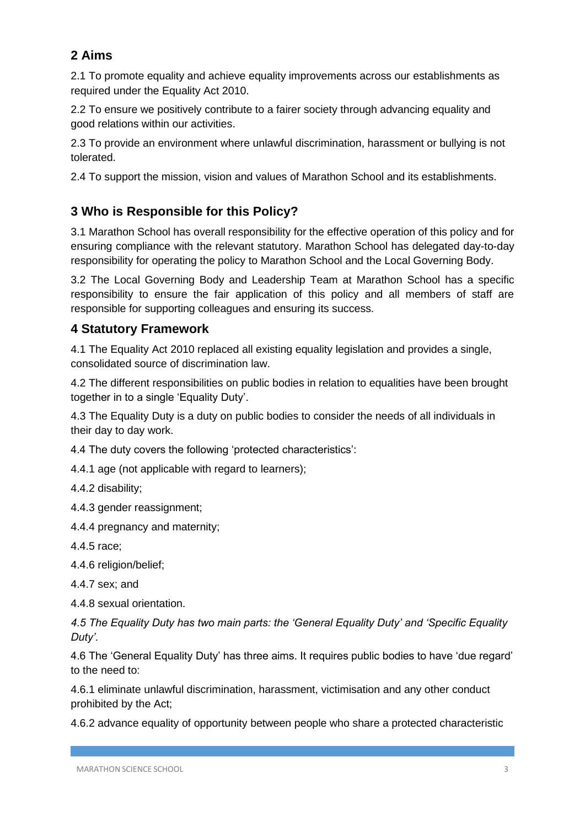# **2 Aims**

2.1 To promote equality and achieve equality improvements across our establishments as required under the Equality Act 2010.

2.2 To ensure we positively contribute to a fairer society through advancing equality and good relations within our activities.

2.3 To provide an environment where unlawful discrimination, harassment or bullying is not tolerated.

2.4 To support the mission, vision and values of Marathon School and its establishments.

# **3 Who is Responsible for this Policy?**

3.1 Marathon School has overall responsibility for the effective operation of this policy and for ensuring compliance with the relevant statutory. Marathon School has delegated day-to-day responsibility for operating the policy to Marathon School and the Local Governing Body.

3.2 The Local Governing Body and Leadership Team at Marathon School has a specific responsibility to ensure the fair application of this policy and all members of staff are responsible for supporting colleagues and ensuring its success.

### **4 Statutory Framework**

4.1 The Equality Act 2010 replaced all existing equality legislation and provides a single, consolidated source of discrimination law.

4.2 The different responsibilities on public bodies in relation to equalities have been brought together in to a single 'Equality Duty'.

4.3 The Equality Duty is a duty on public bodies to consider the needs of all individuals in their day to day work.

4.4 The duty covers the following 'protected characteristics':

4.4.1 age (not applicable with regard to learners);

4.4.2 disability;

4.4.3 gender reassignment;

4.4.4 pregnancy and maternity;

4.4.5 race;

4.4.6 religion/belief;

4.4.7 sex; and

4.4.8 sexual orientation.

*4.5 The Equality Duty has two main parts: the 'General Equality Duty' and 'Specific Equality Duty'.*

4.6 The 'General Equality Duty' has three aims. It requires public bodies to have 'due regard' to the need to:

4.6.1 eliminate unlawful discrimination, harassment, victimisation and any other conduct prohibited by the Act;

4.6.2 advance equality of opportunity between people who share a protected characteristic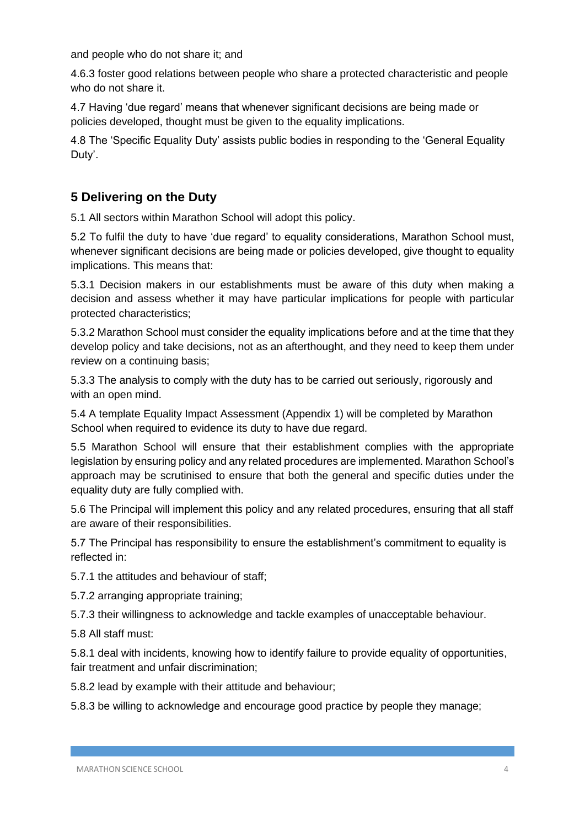and people who do not share it; and

4.6.3 foster good relations between people who share a protected characteristic and people who do not share it.

4.7 Having 'due regard' means that whenever significant decisions are being made or policies developed, thought must be given to the equality implications.

4.8 The 'Specific Equality Duty' assists public bodies in responding to the 'General Equality Duty'.

## **5 Delivering on the Duty**

5.1 All sectors within Marathon School will adopt this policy.

5.2 To fulfil the duty to have 'due regard' to equality considerations, Marathon School must, whenever significant decisions are being made or policies developed, give thought to equality implications. This means that:

5.3.1 Decision makers in our establishments must be aware of this duty when making a decision and assess whether it may have particular implications for people with particular protected characteristics;

5.3.2 Marathon School must consider the equality implications before and at the time that they develop policy and take decisions, not as an afterthought, and they need to keep them under review on a continuing basis;

5.3.3 The analysis to comply with the duty has to be carried out seriously, rigorously and with an open mind.

5.4 A template Equality Impact Assessment (Appendix 1) will be completed by Marathon School when required to evidence its duty to have due regard.

5.5 Marathon School will ensure that their establishment complies with the appropriate legislation by ensuring policy and any related procedures are implemented. Marathon School's approach may be scrutinised to ensure that both the general and specific duties under the equality duty are fully complied with.

5.6 The Principal will implement this policy and any related procedures, ensuring that all staff are aware of their responsibilities.

5.7 The Principal has responsibility to ensure the establishment's commitment to equality is reflected in:

5.7.1 the attitudes and behaviour of staff;

5.7.2 arranging appropriate training;

5.7.3 their willingness to acknowledge and tackle examples of unacceptable behaviour.

5.8 All staff must:

5.8.1 deal with incidents, knowing how to identify failure to provide equality of opportunities, fair treatment and unfair discrimination;

5.8.2 lead by example with their attitude and behaviour;

5.8.3 be willing to acknowledge and encourage good practice by people they manage;